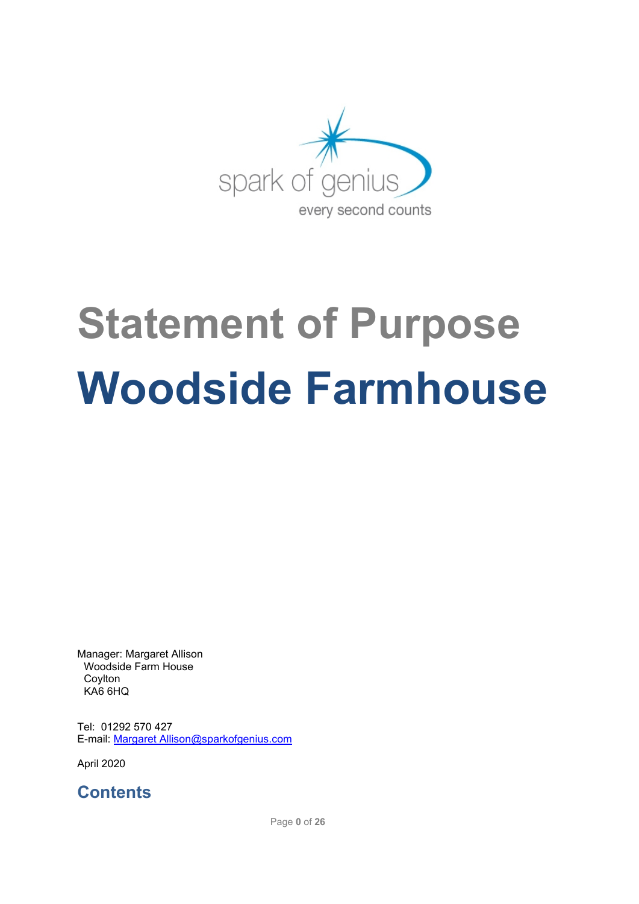

# **Statement of Purpose Woodside Farmhouse**

Manager: Margaret Allison Woodside Farm House Coylton KA6 6HQ

Tel: 01292 570 427 E-mail: Margaret [Allison@sparkofgenius.com](mailto:Allison@sparkofgenius.com)

April 2020

**Contents**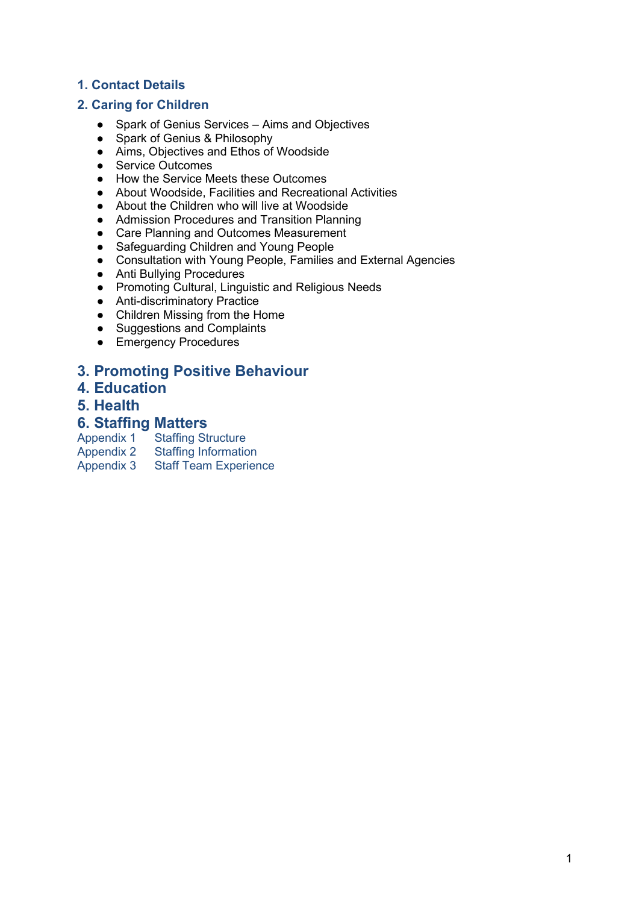## **1. Contact Details**

#### **2. Caring for Children**

- Spark of Genius Services Aims and Objectives
- Spark of Genius & Philosophy
- Aims, Objectives and Ethos of Woodside
- Service Outcomes
- How the Service Meets these Outcomes
- About Woodside, Facilities and Recreational Activities
- About the Children who will live at Woodside
- Admission Procedures and Transition Planning
- Care Planning and Outcomes Measurement
- Safeguarding Children and Young People
- Consultation with Young People, Families and External Agencies
- Anti Bullying Procedures
- Promoting Cultural, Linguistic and Religious Needs
- Anti-discriminatory Practice
- Children Missing from the Home
- Suggestions and Complaints
- Emergency Procedures

# **3. Promoting Positive Behaviour**

- **4. Education**
- **5. Health**

# **6. Staffing Matters**<br>Appendix 1 Staffing St

- 
- Appendix 1 Staffing Structure<br>Appendix 2 Staffing Information Appendix 2 Staffing Information<br>Appendix 3 Staff Team Experier
- **Staff Team Experience**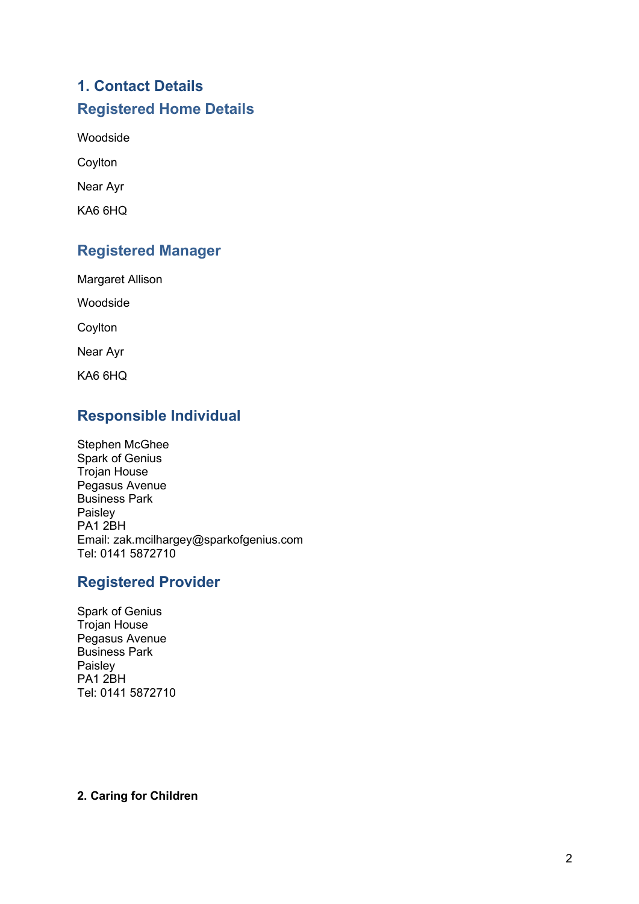# **1. Contact Details Registered Home Details**

Woodside

Coylton

Near Ayr

KA6 6HQ

# **Registered Manager**

Margaret Allison

Woodside

Coylton

Near Ayr

KA6 6HQ

# **Responsible Individual**

Stephen McGhee Spark of Genius Trojan House Pegasus Avenue Business Park Paisley PA1 2BH Email: zak.mcilhargey@sparkofgenius.com Tel: 0141 5872710

# **Registered Provider**

Spark of Genius Trojan House Pegasus Avenue Business Park Paisley PA1 2BH Tel: 0141 5872710

#### **2. Caring for Children**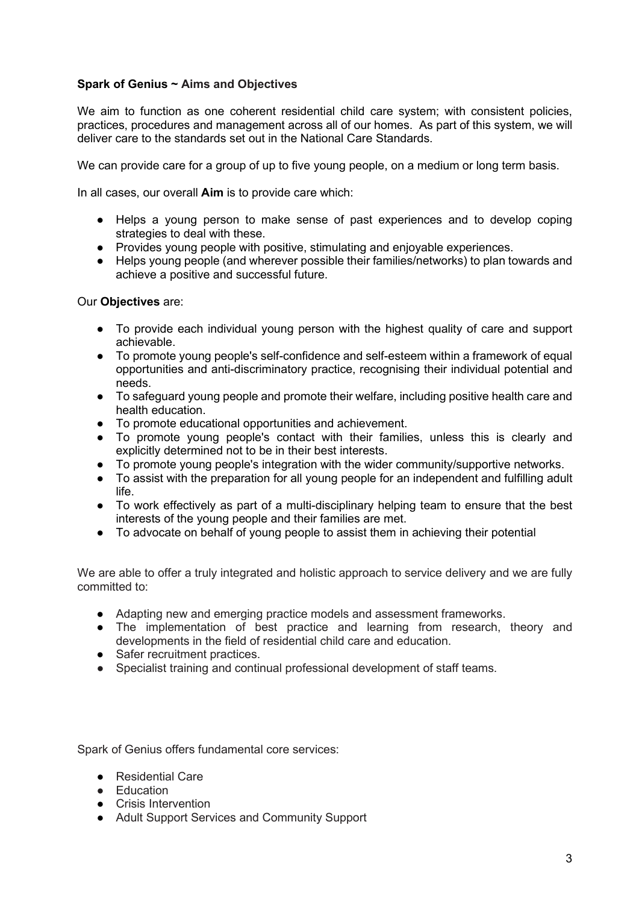#### **Spark of Genius ~ Aims and Objectives**

We aim to function as one coherent residential child care system; with consistent policies, practices, procedures and management across all of our homes. As part of this system, we will deliver care to the standards set out in the National Care Standards.

We can provide care for a group of up to five young people, on a medium or long term basis.

In all cases, our overall **Aim** is to provide care which:

- Helps a young person to make sense of past experiences and to develop coping strategies to deal with these.
- Provides young people with positive, stimulating and enjoyable experiences.
- Helps young people (and wherever possible their families/networks) to plan towards and achieve a positive and successful future.

#### Our **Objectives** are:

- To provide each individual young person with the highest quality of care and support achievable.
- To promote young people's self-confidence and self-esteem within a framework of equal opportunities and anti-discriminatory practice, recognising their individual potential and needs.
- To safeguard young people and promote their welfare, including positive health care and health education.
- To promote educational opportunities and achievement.
- To promote young people's contact with their families, unless this is clearly and explicitly determined not to be in their best interests.
- To promote young people's integration with the wider community/supportive networks.
- To assist with the preparation for all young people for an independent and fulfilling adult life.
- To work effectively as part of a multi-disciplinary helping team to ensure that the best interests of the young people and their families are met.
- To advocate on behalf of young people to assist them in achieving their potential

We are able to offer a truly integrated and holistic approach to service delivery and we are fully committed to:

- Adapting new and emerging practice models and assessment frameworks.
- The implementation of best practice and learning from research, theory and developments in the field of residential child care and education.
- Safer recruitment practices.
- Specialist training and continual professional development of staff teams.

Spark of Genius offers fundamental core services:

- Residential Care
- Education
- Crisis Intervention
- Adult Support Services and Community Support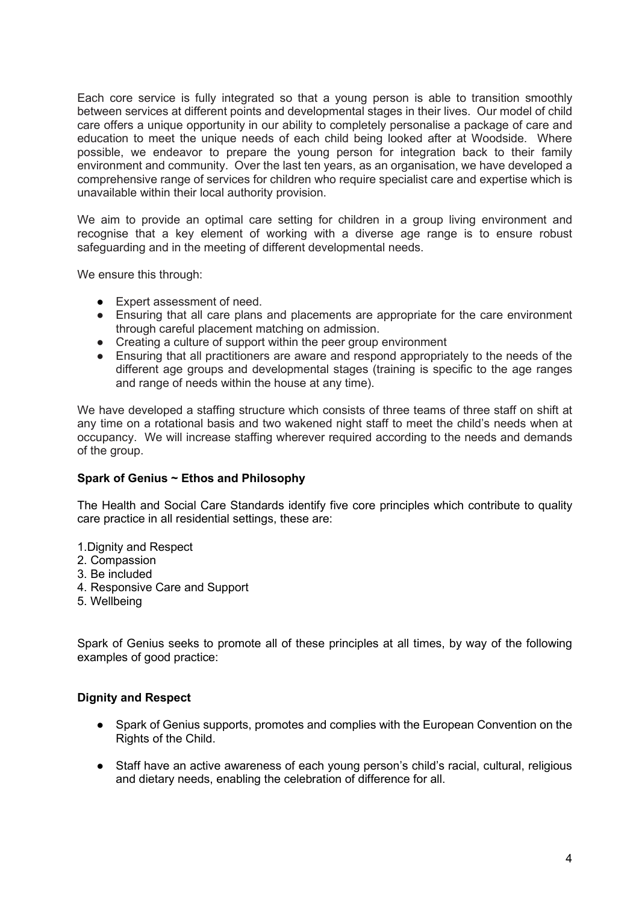Each core service is fully integrated so that a young person is able to transition smoothly between services at different points and developmental stages in their lives. Our model of child care offers a unique opportunity in our ability to completely personalise a package of care and education to meet the unique needs of each child being looked after at Woodside. Where possible, we endeavor to prepare the young person for integration back to their family environment and community. Over the last ten years, as an organisation, we have developed a comprehensive range of services for children who require specialist care and expertise which is unavailable within their local authority provision.

We aim to provide an optimal care setting for children in a group living environment and recognise that a key element of working with a diverse age range is to ensure robust safeguarding and in the meeting of different developmental needs.

We ensure this through:

- Expert assessment of need.
- Ensuring that all care plans and placements are appropriate for the care environment through careful placement matching on admission.
- Creating a culture of support within the peer group environment<br>● Ensuring that all practitioners are aware and respond appropriated
- Ensuring that all practitioners are aware and respond appropriately to the needs of the different age groups and developmental stages (training is specific to the age ranges and range of needs within the house at any time).

We have developed a staffing structure which consists of three teams of three staff on shift at any time on a rotational basis and two wakened night staff to meet the child's needs when at occupancy. We will increase staffing wherever required according to the needs and demands of the group.

#### **Spark of Genius ~ Ethos and Philosophy**

The Health and Social Care Standards identify five core principles which contribute to quality care practice in all residential settings, these are:

- 1. Dignity and Respect
- 2. Compassion
- 3. Be included
- 4. Responsive Care and Support
- 5. Wellbeing

Spark of Genius seeks to promote all of these principles at all times, by way of the following examples of good practice:

#### **Dignity and Respect**

- Spark of Genius supports, promotes and complies with the European Convention on the Rights of the Child.
- Staff have an active awareness of each young person's child's racial, cultural, religious and dietary needs, enabling the celebration of difference for all.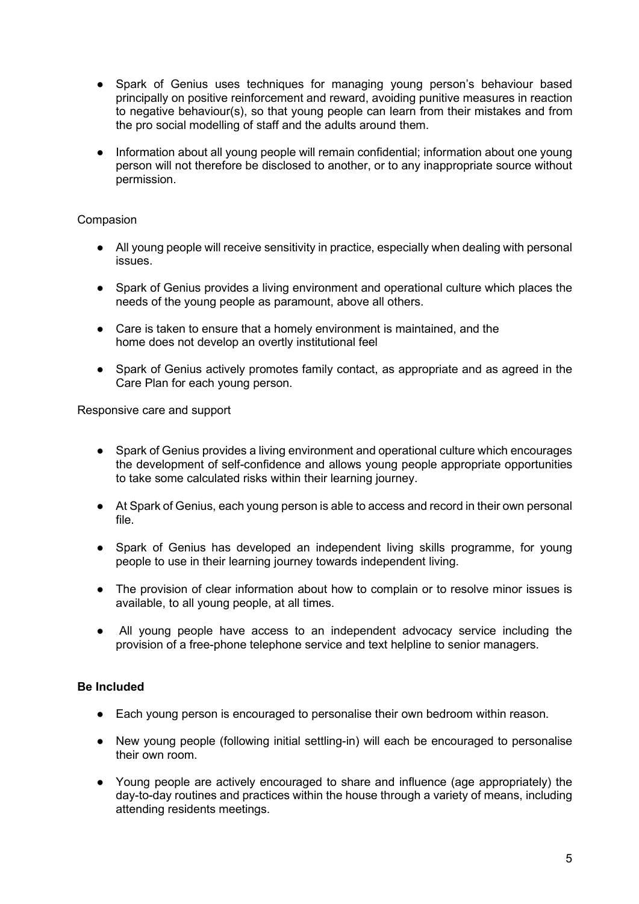- Spark of Genius uses techniques for managing young person's behaviour based principally on positive reinforcement and reward, avoiding punitive measures in reaction to negative behaviour(s), so that young people can learn from their mistakes and from the pro social modelling of staff and the adults around them.
- Information about all young people will remain confidential; information about one young person will not therefore be disclosed to another, or to any inappropriate source without permission.

#### **Compasion**

- All young people will receive sensitivity in practice, especially when dealing with personal issues.
- Spark of Genius provides a living environment and operational culture which places the needs of the young people as paramount, above all others.
- Care is taken to ensure that a homely environment is maintained, and the home does not develop an overtly institutional feel
- Spark of Genius actively promotes family contact, as appropriate and as agreed in the Care Plan for each young person.

Responsive care and support

- Spark of Genius provides a living environment and operational culture which encourages the development of self-confidence and allows young people appropriate opportunities to take some calculated risks within their learning journey.
- At Spark of Genius, each young person is able to access and record in their own personal file.
- Spark of Genius has developed an independent living skills programme, for young people to use in their learning journey towards independent living.
- The provision of clear information about how to complain or to resolve minor issues is available, to all young people, at all times.
- All young people have access to an independent advocacy service including the provision of a free-phone telephone service and text helpline to senior managers.

#### **Be Included**

- Each young person is encouraged to personalise their own bedroom within reason.
- New young people (following initial settling-in) will each be encouraged to personalise their own room.
- Young people are actively encouraged to share and influence (age appropriately) the day-to-day routines and practices within the house through a variety of means, including attending residents meetings.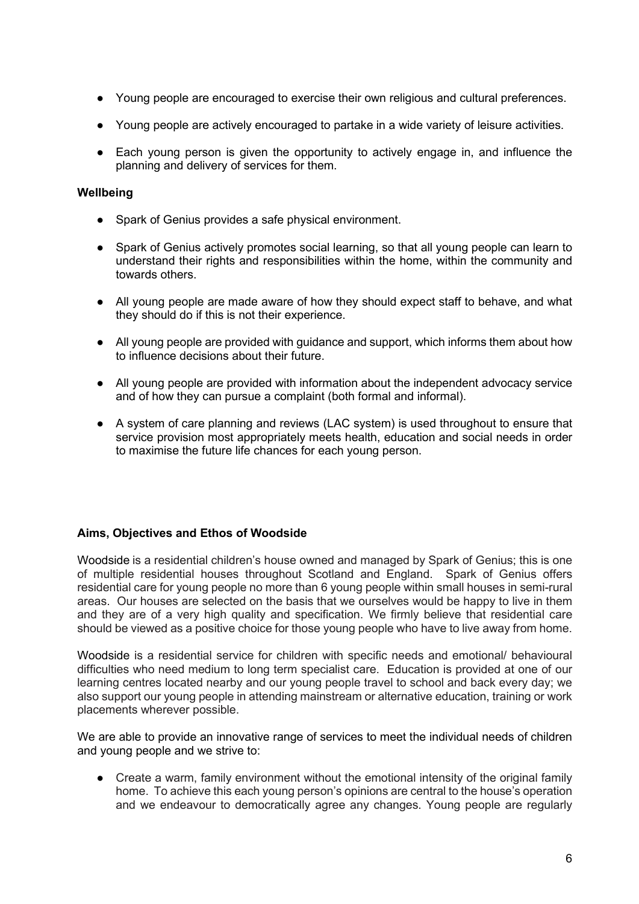- Young people are encouraged to exercise their own religious and cultural preferences.
- Young people are actively encouraged to partake in a wide variety of leisure activities.
- Each young person is given the opportunity to actively engage in, and influence the planning and delivery of services for them.

#### **Wellbeing**

- Spark of Genius provides a safe physical environment.
- Spark of Genius actively promotes social learning, so that all young people can learn to understand their rights and responsibilities within the home, within the community and towards others.
- All young people are made aware of how they should expect staff to behave, and what they should do if this is not their experience.
- All young people are provided with guidance and support, which informs them about how to influence decisions about their future.
- All young people are provided with information about the independent advocacy service and of how they can pursue a complaint (both formal and informal).
- A system of care planning and reviews (LAC system) is used throughout to ensure that service provision most appropriately meets health, education and social needs in order to maximise the future life chances for each young person.

#### **Aims, Objectives and Ethos of Woodside**

Woodside is a residential children's house owned and managed by Spark of Genius; this is one of multiple residential houses throughout Scotland and England. Spark of Genius offers residential care for young people no more than 6 young people within small houses in semi-rural areas. Our houses are selected on the basis that we ourselves would be happy to live in them and they are of a very high quality and specification. We firmly believe that residential care should be viewed as a positive choice for those young people who have to live away from home.

Woodside is a residential service for children with specific needs and emotional/ behavioural difficulties who need medium to long term specialist care. Education is provided at one of our learning centres located nearby and our young people travel to school and back every day; we also support our young people in attending mainstream or alternative education, training or work placements wherever possible.

We are able to provide an innovative range of services to meet the individual needs of children and young people and we strive to:

• Create a warm, family environment without the emotional intensity of the original family home. To achieve this each young person's opinions are central to the house's operation and we endeavour to democratically agree any changes. Young people are regularly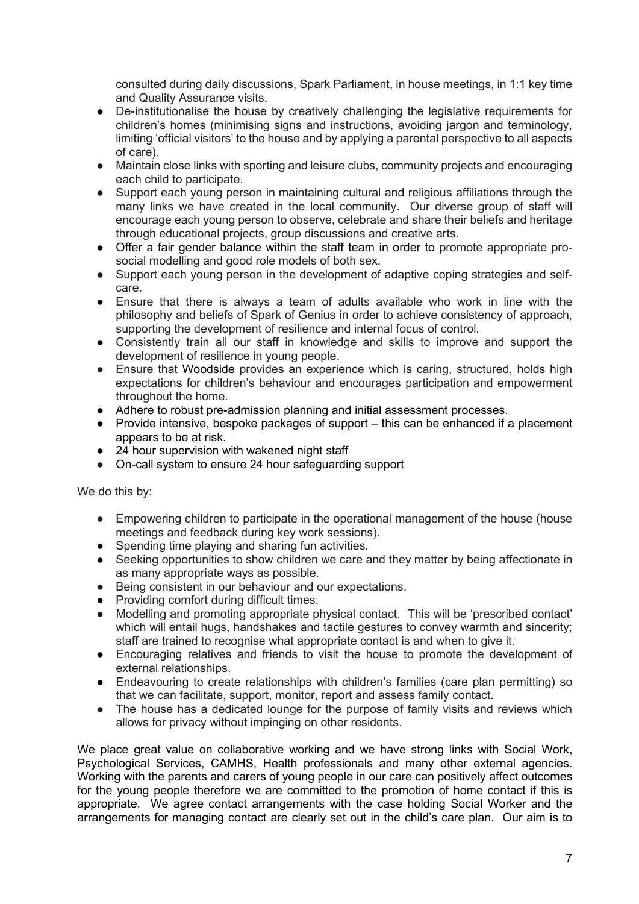consulted during daily discussions, Spark Parliament, in house meetings, in 1:1 key time and Quality Assurance visits.

- De-institutionalise the house by creatively challenging the legislative requirements for children's homes (minimising signs and instructions, avoiding jargon and terminology, limiting 'official visitors' to the house and by applying a parental perspective to all aspects of care).
- Maintain close links with sporting and leisure clubs, community projects and encouraging each child to participate.
- Support each young person in maintaining cultural and religious affiliations through the many links we have created in the local community. Our diverse group of staff will encourage each young person to observe, celebrate and share their beliefs and heritage through educational projects, group discussions and creative arts.
- Offer a fair gender balance within the staff team in order to promote appropriate prosocial modelling and good role models of both sex.
- Support each young person in the development of adaptive coping strategies and selfcare.
- Ensure that there is always a team of adults available who work in line with the philosophy and beliefs of Spark of Genius in order to achieve consistency of approach, supporting the development of resilience and internal focus of control.
- Consistently train all our staff in knowledge and skills to improve and support the development of resilience in young people.
- Ensure that Woodside provides an experience which is caring, structured, holds high expectations for children's behaviour and encourages participation and empowerment throughout the home.
- Adhere to robust pre-admission planning and initial assessment processes.
- Provide intensive, bespoke packages of support this can be enhanced if a placement appears to be at risk.
- 24 hour supervision with wakened night staff
- On-call system to ensure 24 hour safeguarding support

We do this by:

- Empowering children to participate in the operational management of the house (house meetings and feedback during key work sessions).
- Spending time playing and sharing fun activities.
- Seeking opportunities to show children we care and they matter by being affectionate in as many appropriate ways as possible.
- Being consistent in our behaviour and our expectations.
- Providing comfort during difficult times.
- Modelling and promoting appropriate physical contact. This will be 'prescribed contact' which will entail hugs, handshakes and tactile gestures to convey warmth and sincerity; staff are trained to recognise what appropriate contact is and when to give it.
- Encouraging relatives and friends to visit the house to promote the development of external relationships.
- Endeavouring to create relationships with children's families (care plan permitting) so that we can facilitate, support, monitor, report and assess family contact.
- The house has a dedicated lounge for the purpose of family visits and reviews which allows for privacy without impinging on other residents.

We place great value on collaborative working and we have strong links with Social Work, Psychological Services, CAMHS, Health professionals and many other external agencies. Working with the parents and carers of young people in our care can positively affect outcomes for the young people therefore we are committed to the promotion of home contact if this is appropriate. We agree contact arrangements with the case holding Social Worker and the arrangements for managing contact are clearly set out in the child's care plan. Our aim is to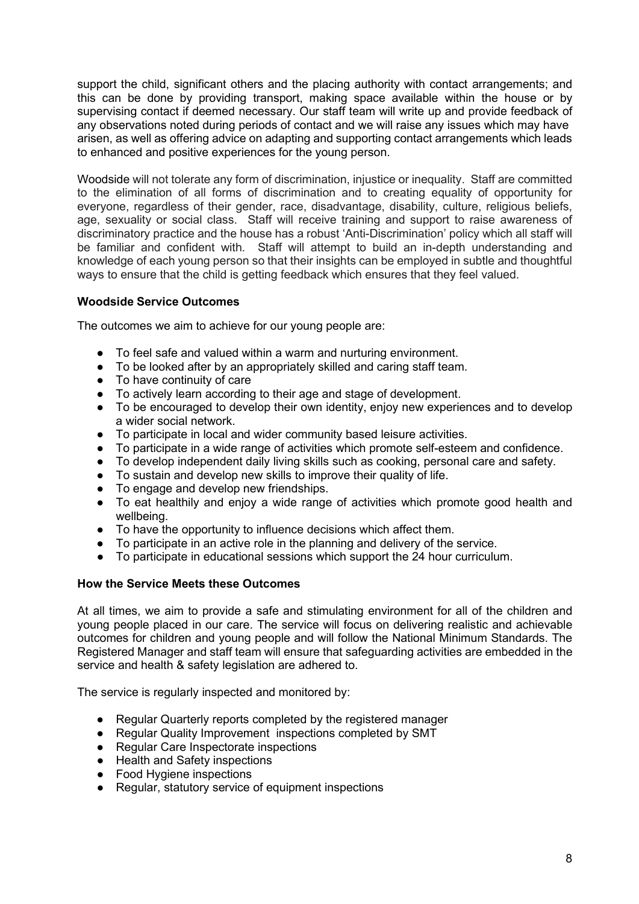support the child, significant others and the placing authority with contact arrangements; and this can be done by providing transport, making space available within the house or by supervising contact if deemed necessary. Our staff team will write up and provide feedback of any observations noted during periods of contact and we will raise any issues which may have arisen, as well as offering advice on adapting and supporting contact arrangements which leads to enhanced and positive experiences for the young person.

Woodside will not tolerate any form of discrimination, injustice or inequality. Staff are committed to the elimination of all forms of discrimination and to creating equality of opportunity for everyone, regardless of their gender, race, disadvantage, disability, culture, religious beliefs, age, sexuality or social class. Staff will receive training and support to raise awareness of discriminatory practice and the house has a robust 'Anti-Discrimination' policy which all staff will be familiar and confident with. Staff will attempt to build an in-depth understanding and knowledge of each young person so that their insights can be employed in subtle and thoughtful ways to ensure that the child is getting feedback which ensures that they feel valued.

#### **Woodside Service Outcomes**

The outcomes we aim to achieve for our young people are:

- To feel safe and valued within a warm and nurturing environment.
- To be looked after by an appropriately skilled and caring staff team.
- To have continuity of care
- To actively learn according to their age and stage of development.
- To be encouraged to develop their own identity, enjoy new experiences and to develop a wider social network.
- To participate in local and wider community based leisure activities.
- To participate in a wide range of activities which promote self-esteem and confidence.
- To develop independent daily living skills such as cooking, personal care and safety.
- To sustain and develop new skills to improve their quality of life.
- To engage and develop new friendships.
- To eat healthily and enjoy a wide range of activities which promote good health and wellbeing.
- To have the opportunity to influence decisions which affect them.
- To participate in an active role in the planning and delivery of the service.
- To participate in educational sessions which support the 24 hour curriculum.

#### **How the Service Meets these Outcomes**

At all times, we aim to provide a safe and stimulating environment for all of the children and young people placed in our care. The service will focus on delivering realistic and achievable outcomes for children and young people and will follow the National Minimum Standards. The Registered Manager and staff team will ensure that safeguarding activities are embedded in the service and health & safety legislation are adhered to.

The service is regularly inspected and monitored by:

- Regular Quarterly reports completed by the registered manager
- Regular Quality Improvement inspections completed by SMT
- Regular Care Inspectorate inspections
- Health and Safety inspections
- Food Hygiene inspections
- Regular, statutory service of equipment inspections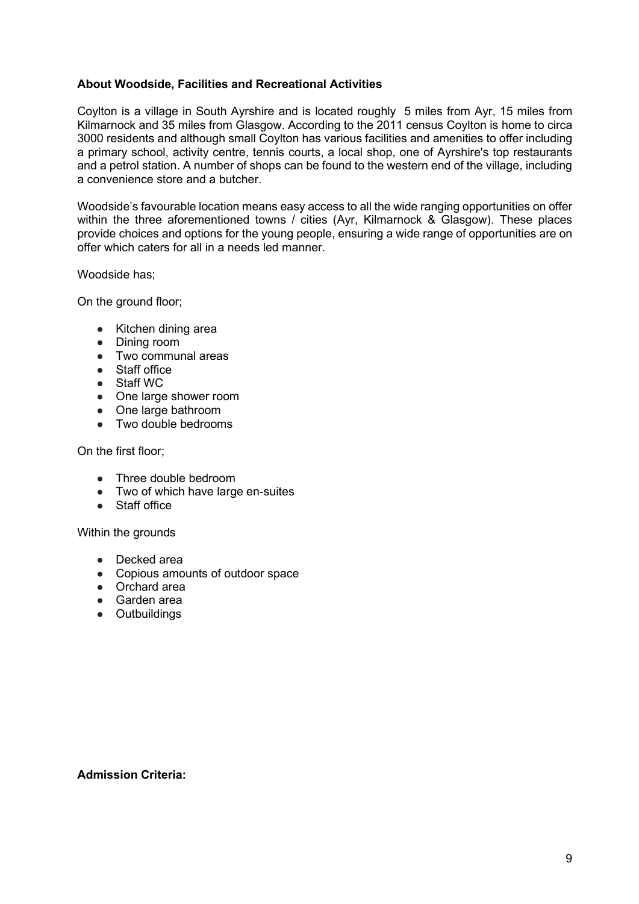#### **About Woodside, Facilities and Recreational Activities**

Coylton is a village in [South Ayrshire](https://en.wikipedia.org/wiki/South_Ayrshire) and is located roughly 5 miles from Ayr, 15 miles from Kilmarnock and 35 miles from Glasgow. According to the 2011 census Coylton is home to circa 3000 residents and although small Coylton has various facilities and amenities to offer including a primary school, activity centre, tennis courts, a local shop, one of Ayrshire's top restaurants and a petrol station. A number of shops can be found to the western end of the village, including a convenience store and a butcher.

Woodside's favourable location means easy access to all the wide ranging opportunities on offer within the three aforementioned towns / cities (Ayr, Kilmarnock & Glasgow). These places provide choices and options for the young people, ensuring a wide range of opportunities are on offer which caters for all in a needs led manner.

Woodside has;

On the ground floor;

- Kitchen dining area
- Dining room
- Two communal areas
- Staff office
- Staff WC
- One large shower room
- One large bathroom
- Two double bedrooms

On the first floor;

- Three double bedroom
- Two of which have large en-suites
- Staff office

Within the grounds

- Decked area
- Copious amounts of outdoor space
- Orchard area
- Garden area
- Outbuildings

#### **Admission Criteria:**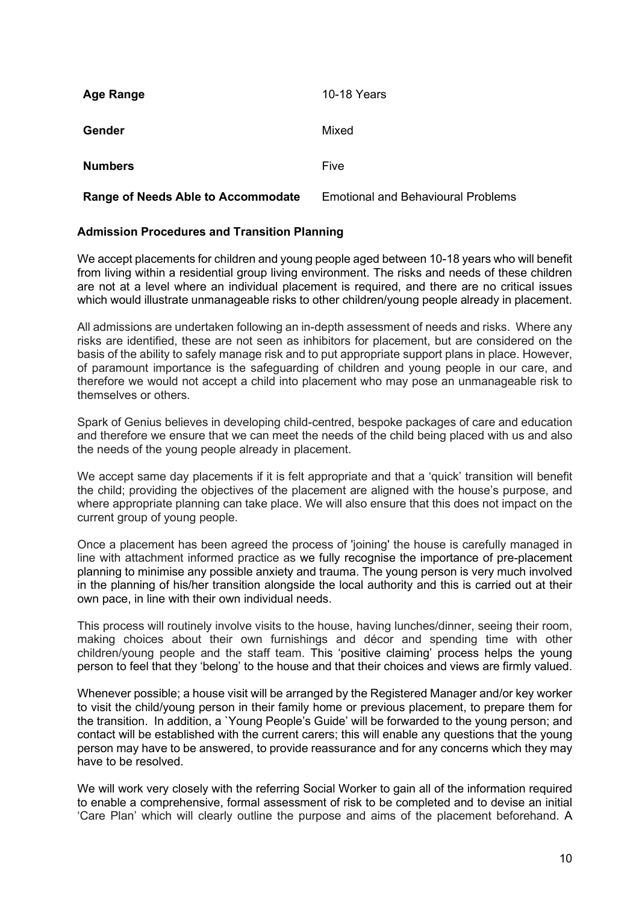| <b>Age Range</b>                          | 10-18 Years                               |
|-------------------------------------------|-------------------------------------------|
| <b>Gender</b>                             | Mixed                                     |
| <b>Numbers</b>                            | Five                                      |
| <b>Range of Needs Able to Accommodate</b> | <b>Emotional and Behavioural Problems</b> |

#### **Admission Procedures and Transition Planning**

We accept placements for children and young people aged between 10-18 years who will benefit from living within a residential group living environment. The risks and needs of these children are not at a level where an individual placement is required, and there are no critical issues which would illustrate unmanageable risks to other children/young people already in placement.

All admissions are undertaken following an in-depth assessment of needs and risks. Where any risks are identified, these are not seen as inhibitors for placement, but are considered on the basis of the ability to safely manage risk and to put appropriate support plans in place. However, of paramount importance is the safeguarding of children and young people in our care, and therefore we would not accept a child into placement who may pose an unmanageable risk to themselves or others.

Spark of Genius believes in developing child-centred, bespoke packages of care and education and therefore we ensure that we can meet the needs of the child being placed with us and also the needs of the young people already in placement.

We accept same day placements if it is felt appropriate and that a 'quick' transition will benefit the child; providing the objectives of the placement are aligned with the house's purpose, and where appropriate planning can take place. We will also ensure that this does not impact on the current group of young people.

Once a placement has been agreed the process of 'joining' the house is carefully managed in line with attachment informed practice as we fully recognise the importance of pre-placement planning to minimise any possible anxiety and trauma. The young person is very much involved in the planning of his/her transition alongside the local authority and this is carried out at their own pace, in line with their own individual needs.

This process will routinely involve visits to the house, having lunches/dinner, seeing their room, making choices about their own furnishings and décor and spending time with other children/young people and the staff team. This 'positive claiming' process helps the young person to feel that they 'belong' to the house and that their choices and views are firmly valued.

Whenever possible; a house visit will be arranged by the Registered Manager and/or key worker to visit the child/young person in their family home or previous placement, to prepare them for the transition. In addition, a `Young People's Guide' will be forwarded to the young person; and contact will be established with the current carers; this will enable any questions that the young person may have to be answered, to provide reassurance and for any concerns which they may have to be resolved.

We will work very closely with the referring Social Worker to gain all of the information required to enable a comprehensive, formal assessment of risk to be completed and to devise an initial 'Care Plan' which will clearly outline the purpose and aims of the placement beforehand. A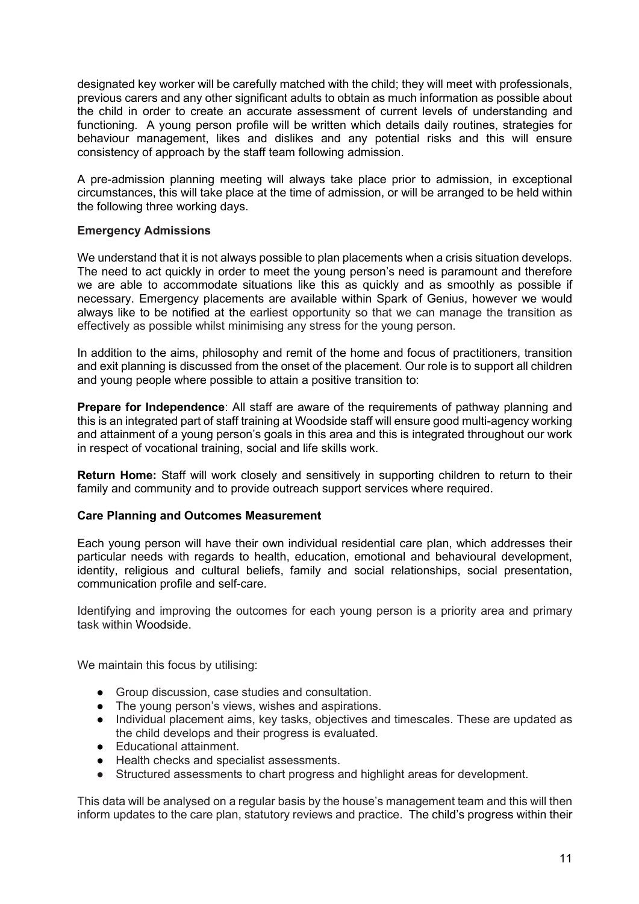designated key worker will be carefully matched with the child; they will meet with professionals, previous carers and any other significant adults to obtain as much information as possible about the child in order to create an accurate assessment of current levels of understanding and functioning. A young person profile will be written which details daily routines, strategies for behaviour management, likes and dislikes and any potential risks and this will ensure consistency of approach by the staff team following admission.

A pre-admission planning meeting will always take place prior to admission, in exceptional circumstances, this will take place at the time of admission, or will be arranged to be held within the following three working days.

#### **Emergency Admissions**

We understand that it is not always possible to plan placements when a crisis situation develops. The need to act quickly in order to meet the young person's need is paramount and therefore we are able to accommodate situations like this as quickly and as smoothly as possible if necessary. Emergency placements are available within Spark of Genius, however we would always like to be notified at the earliest opportunity so that we can manage the transition as effectively as possible whilst minimising any stress for the young person.

In addition to the aims, philosophy and remit of the home and focus of practitioners, transition and exit planning is discussed from the onset of the placement. Our role is to support all children and young people where possible to attain a positive transition to:

**Prepare for Independence**: All staff are aware of the requirements of pathway planning and this is an integrated part of staff training at Woodside staff will ensure good multi-agency working and attainment of a young person's goals in this area and this is integrated throughout our work in respect of vocational training, social and life skills work.

**Return Home:** Staff will work closely and sensitively in supporting children to return to their family and community and to provide outreach support services where required.

#### **Care Planning and Outcomes Measurement**

Each young person will have their own individual residential care plan, which addresses their particular needs with regards to health, education, emotional and behavioural development, identity, religious and cultural beliefs, family and social relationships, social presentation, communication profile and self-care.

Identifying and improving the outcomes for each young person is a priority area and primary task within Woodside.

We maintain this focus by utilising:

- Group discussion, case studies and consultation.
- The young person's views, wishes and aspirations.
- Individual placement aims, key tasks, objectives and timescales. These are updated as the child develops and their progress is evaluated.
- Educational attainment.
- Health checks and specialist assessments.
- Structured assessments to chart progress and highlight areas for development.

This data will be analysed on a regular basis by the house's management team and this will then inform updates to the care plan, statutory reviews and practice. The child's progress within their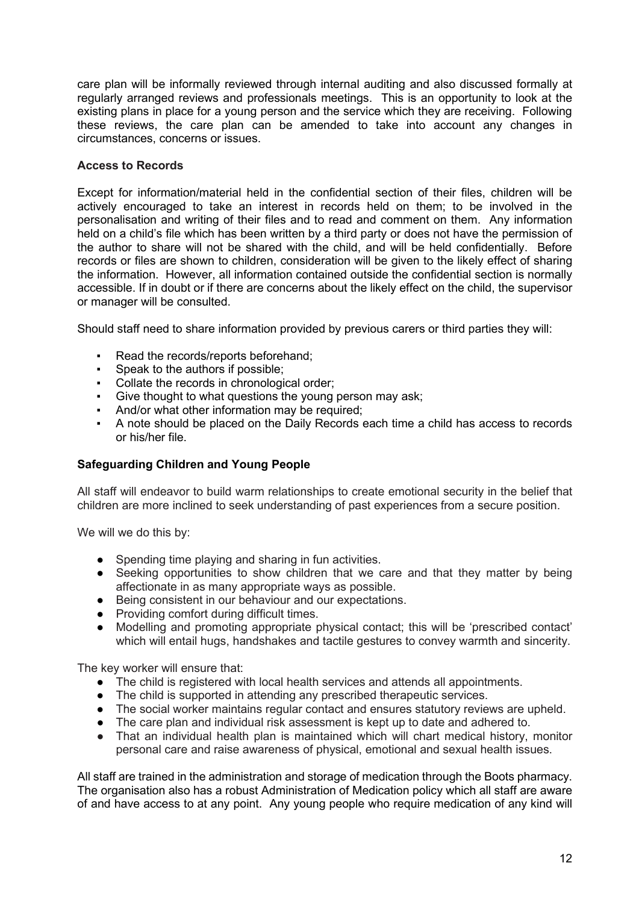care plan will be informally reviewed through internal auditing and also discussed formally at regularly arranged reviews and professionals meetings. This is an opportunity to look at the existing plans in place for a young person and the service which they are receiving. Following these reviews, the care plan can be amended to take into account any changes in circumstances, concerns or issues.

#### **Access to Records**

Except for information/material held in the confidential section of their files, children will be actively encouraged to take an interest in records held on them; to be involved in the personalisation and writing of their files and to read and comment on them. Any information held on a child's file which has been written by a third party or does not have the permission of the author to share will not be shared with the child, and will be held confidentially. Before records or files are shown to children, consideration will be given to the likely effect of sharing the information. However, all information contained outside the confidential section is normally accessible. If in doubt or if there are concerns about the likely effect on the child, the supervisor or manager will be consulted.

Should staff need to share information provided by previous carers or third parties they will:

- Read the records/reports beforehand;
- Speak to the authors if possible;
- Collate the records in chronological order;
- Give thought to what questions the young person may ask;
- **And/or what other information may be required:**
- A note should be placed on the Daily Records each time a child has access to records or his/her file.

#### **Safeguarding Children and Young People**

All staff will endeavor to build warm relationships to create emotional security in the belief that children are more inclined to seek understanding of past experiences from a secure position.

We will we do this by:

- Spending time playing and sharing in fun activities.
- Seeking opportunities to show children that we care and that they matter by being affectionate in as many appropriate ways as possible.
- Being consistent in our behaviour and our expectations.
- Providing comfort during difficult times.
- Modelling and promoting appropriate physical contact; this will be 'prescribed contact' which will entail hugs, handshakes and tactile gestures to convey warmth and sincerity.

The key worker will ensure that:

- The child is registered with local health services and attends all appointments.
- The child is supported in attending any prescribed therapeutic services.
- The social worker maintains regular contact and ensures statutory reviews are upheld.
- The care plan and individual risk assessment is kept up to date and adhered to.
- That an individual health plan is maintained which will chart medical history, monitor personal care and raise awareness of physical, emotional and sexual health issues.

All staff are trained in the administration and storage of medication through the Boots pharmacy. The organisation also has a robust Administration of Medication policy which all staff are aware of and have access to at any point. Any young people who require medication of any kind will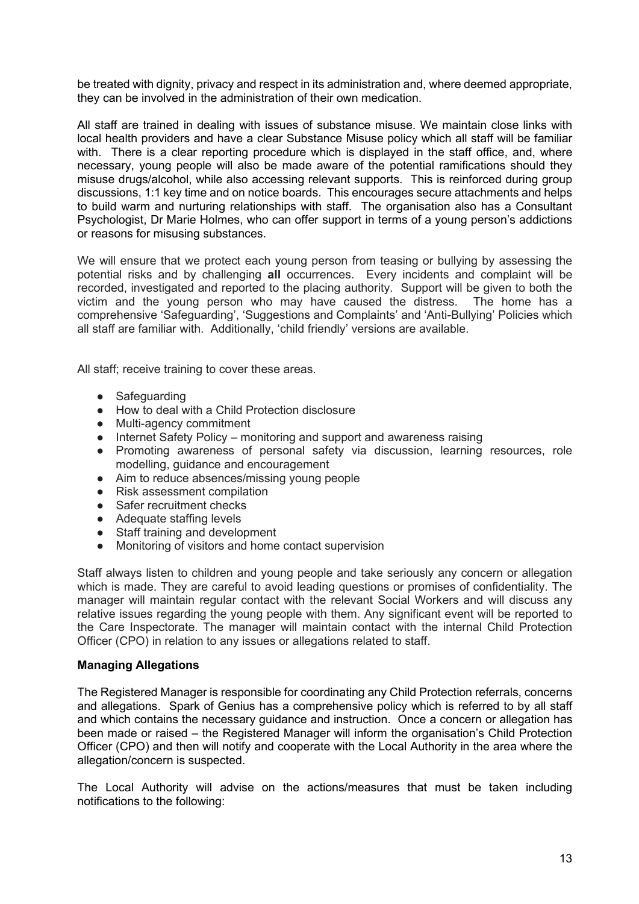be treated with dignity, privacy and respect in its administration and, where deemed appropriate, they can be involved in the administration of their own medication.

All staff are trained in dealing with issues of substance misuse. We maintain close links with local health providers and have a clear Substance Misuse policy which all staff will be familiar with. There is a clear reporting procedure which is displayed in the staff office, and, where necessary, young people will also be made aware of the potential ramifications should they misuse drugs/alcohol, while also accessing relevant supports. This is reinforced during group discussions, 1:1 key time and on notice boards. This encourages secure attachments and helps to build warm and nurturing relationships with staff. The organisation also has a Consultant Psychologist, Dr Marie Holmes, who can offer support in terms of a young person's addictions or reasons for misusing substances.

We will ensure that we protect each young person from teasing or bullying by assessing the potential risks and by challenging **all** occurrences. Every incidents and complaint will be recorded, investigated and reported to the placing authority. Support will be given to both the victim and the young person who may have caused the distress. The home has a comprehensive 'Safeguarding', 'Suggestions and Complaints' and 'Anti-Bullying' Policies which all staff are familiar with. Additionally, 'child friendly' versions are available.

All staff; receive training to cover these areas.

- Safeguarding
- How to deal with a Child Protection disclosure
- Multi-agency commitment
- Internet Safety Policy monitoring and support and awareness raising
- Promoting awareness of personal safety via discussion, learning resources, role modelling, guidance and encouragement
- Aim to reduce absences/missing young people
- Risk assessment compilation
- Safer recruitment checks
- Adequate staffing levels
- Staff training and development
- Monitoring of visitors and home contact supervision

Staff always listen to children and young people and take seriously any concern or allegation which is made. They are careful to avoid leading questions or promises of confidentiality. The manager will maintain regular contact with the relevant Social Workers and will discuss any relative issues regarding the young people with them. Any significant event will be reported to the Care Inspectorate. The manager will maintain contact with the internal Child Protection Officer (CPO) in relation to any issues or allegations related to staff.

#### **Managing Allegations**

The Registered Manager is responsible for coordinating any Child Protection referrals, concerns and allegations. Spark of Genius has a comprehensive policy which is referred to by all staff and which contains the necessary guidance and instruction. Once a concern or allegation has been made or raised – the Registered Manager will inform the organisation's Child Protection Officer (CPO) and then will notify and cooperate with the Local Authority in the area where the allegation/concern is suspected.

The Local Authority will advise on the actions/measures that must be taken including notifications to the following: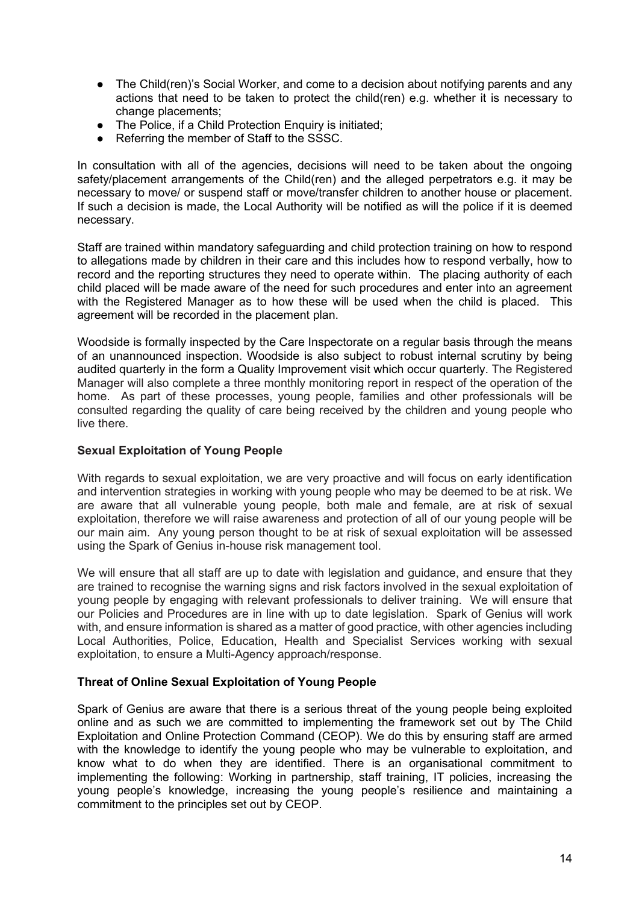- The Child(ren)'s Social Worker, and come to a decision about notifying parents and any actions that need to be taken to protect the child(ren) e.g. whether it is necessary to change placements;
- The Police, if a Child Protection Enquiry is initiated:
- Referring the member of Staff to the SSSC.

In consultation with all of the agencies, decisions will need to be taken about the ongoing safety/placement arrangements of the Child(ren) and the alleged perpetrators e.g. it may be necessary to move/ or suspend staff or move/transfer children to another house or placement. If such a decision is made, the Local Authority will be notified as will the police if it is deemed necessary.

Staff are trained within mandatory safeguarding and child protection training on how to respond to allegations made by children in their care and this includes how to respond verbally, how to record and the reporting structures they need to operate within. The placing authority of each child placed will be made aware of the need for such procedures and enter into an agreement with the Registered Manager as to how these will be used when the child is placed. This agreement will be recorded in the placement plan.

Woodside is formally inspected by the Care Inspectorate on a regular basis through the means of an unannounced inspection. Woodside is also subject to robust internal scrutiny by being audited quarterly in the form a Quality Improvement visit which occur quarterly. The Registered Manager will also complete a three monthly monitoring report in respect of the operation of the home. As part of these processes, young people, families and other professionals will be consulted regarding the quality of care being received by the children and young people who live there.

#### **Sexual Exploitation of Young People**

With regards to sexual exploitation, we are very proactive and will focus on early identification and intervention strategies in working with young people who may be deemed to be at risk. We are aware that all vulnerable young people, both male and female, are at risk of sexual exploitation, therefore we will raise awareness and protection of all of our young people will be our main aim. Any young person thought to be at risk of sexual exploitation will be assessed using the Spark of Genius in-house risk management tool.

We will ensure that all staff are up to date with legislation and guidance, and ensure that they are trained to recognise the warning signs and risk factors involved in the sexual exploitation of young people by engaging with relevant professionals to deliver training. We will ensure that our Policies and Procedures are in line with up to date legislation. Spark of Genius will work with, and ensure information is shared as a matter of good practice, with other agencies including Local Authorities, Police, Education, Health and Specialist Services working with sexual exploitation, to ensure a Multi-Agency approach/response.

#### **Threat of Online Sexual Exploitation of Young People**

Spark of Genius are aware that there is a serious threat of the young people being exploited online and as such we are committed to implementing the framework set out by The Child Exploitation and Online Protection Command (CEOP). We do this by ensuring staff are armed with the knowledge to identify the young people who may be vulnerable to exploitation, and know what to do when they are identified. There is an organisational commitment to implementing the following: Working in partnership, staff training, IT policies, increasing the young people's knowledge, increasing the young people's resilience and maintaining a commitment to the principles set out by CEOP.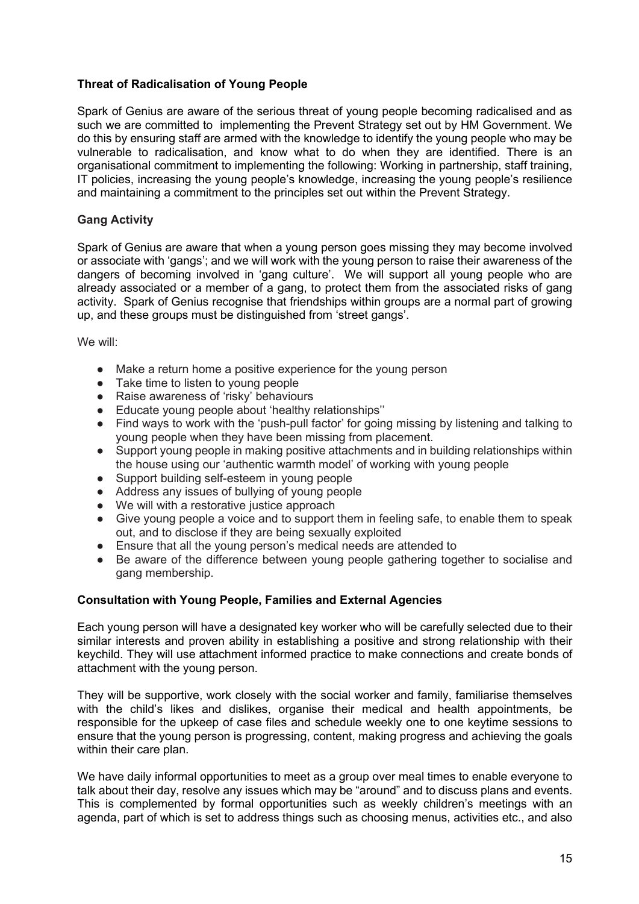#### **Threat of Radicalisation of Young People**

Spark of Genius are aware of the serious threat of young people becoming radicalised and as such we are committed to implementing the Prevent Strategy set out by HM Government. We do this by ensuring staff are armed with the knowledge to identify the young people who may be vulnerable to radicalisation, and know what to do when they are identified. There is an organisational commitment to implementing the following: Working in partnership, staff training, IT policies, increasing the young people's knowledge, increasing the young people's resilience and maintaining a commitment to the principles set out within the Prevent Strategy.

#### **Gang Activity**

Spark of Genius are aware that when a young person goes missing they may become involved or associate with 'gangs'; and we will work with the young person to raise their awareness of the dangers of becoming involved in 'gang culture'. We will support all young people who are already associated or a member of a gang, to protect them from the associated risks of gang activity. Spark of Genius recognise that friendships within groups are a normal part of growing up, and these groups must be distinguished from 'street gangs'.

We will:

- Make a return home a positive experience for the young person
- Take time to listen to young people
- Raise awareness of 'risky' behaviours
- Educate young people about 'healthy relationships''
- Find ways to work with the 'push-pull factor' for going missing by listening and talking to young people when they have been missing from placement.
- Support young people in making positive attachments and in building relationships within the house using our 'authentic warmth model' of working with young people
- Support building self-esteem in young people
- Address any issues of bullying of young people
- We will with a restorative justice approach
- Give young people a voice and to support them in feeling safe, to enable them to speak out, and to disclose if they are being sexually exploited
- Ensure that all the young person's medical needs are attended to
- Be aware of the difference between young people gathering together to socialise and gang membership.

#### **Consultation with Young People, Families and External Agencies**

Each young person will have a designated key worker who will be carefully selected due to their similar interests and proven ability in establishing a positive and strong relationship with their keychild. They will use attachment informed practice to make connections and create bonds of attachment with the young person.

They will be supportive, work closely with the social worker and family, familiarise themselves with the child's likes and dislikes, organise their medical and health appointments, be responsible for the upkeep of case files and schedule weekly one to one keytime sessions to ensure that the young person is progressing, content, making progress and achieving the goals within their care plan.

We have daily informal opportunities to meet as a group over meal times to enable everyone to talk about their day, resolve any issues which may be "around" and to discuss plans and events. This is complemented by formal opportunities such as weekly children's meetings with an agenda, part of which is set to address things such as choosing menus, activities etc., and also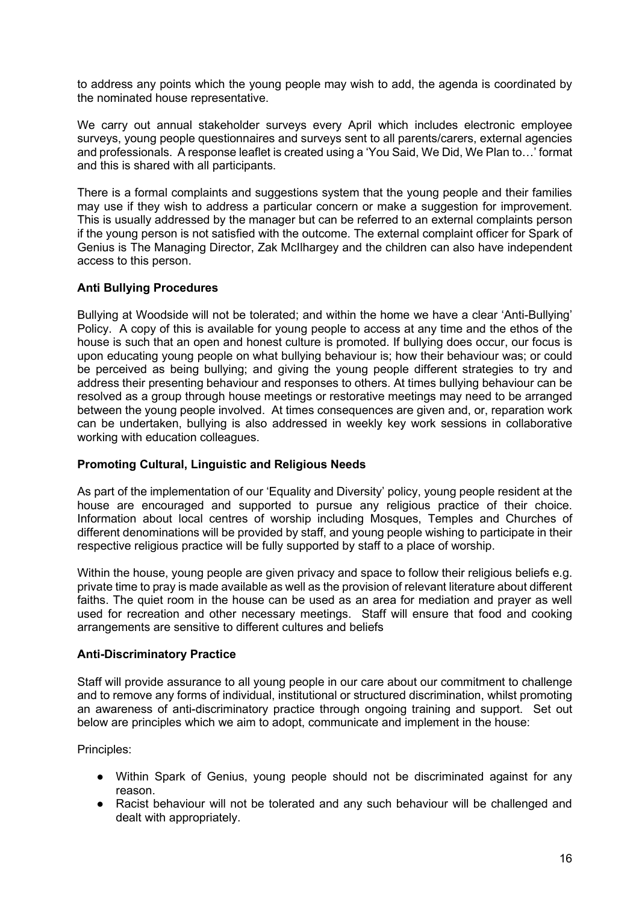to address any points which the young people may wish to add, the agenda is coordinated by the nominated house representative.

We carry out annual stakeholder surveys every April which includes electronic employee surveys, young people questionnaires and surveys sent to all parents/carers, external agencies and professionals. A response leaflet is created using a 'You Said, We Did, We Plan to…' format and this is shared with all participants.

There is a formal complaints and suggestions system that the young people and their families may use if they wish to address a particular concern or make a suggestion for improvement. This is usually addressed by the manager but can be referred to an external complaints person if the young person is not satisfied with the outcome. The external complaint officer for Spark of Genius is The Managing Director, Zak McIlhargey and the children can also have independent access to this person.

#### **Anti Bullying Procedures**

Bullying at Woodside will not be tolerated; and within the home we have a clear 'Anti-Bullying' Policy. A copy of this is available for young people to access at any time and the ethos of the house is such that an open and honest culture is promoted. If bullying does occur, our focus is upon educating young people on what bullying behaviour is; how their behaviour was; or could be perceived as being bullying; and giving the young people different strategies to try and address their presenting behaviour and responses to others. At times bullying behaviour can be resolved as a group through house meetings or restorative meetings may need to be arranged between the young people involved. At times consequences are given and, or, reparation work can be undertaken, bullying is also addressed in weekly key work sessions in collaborative working with education colleagues.

#### **Promoting Cultural, Linguistic and Religious Needs**

As part of the implementation of our 'Equality and Diversity' policy, young people resident at the house are encouraged and supported to pursue any religious practice of their choice. Information about local centres of worship including Mosques, Temples and Churches of different denominations will be provided by staff, and young people wishing to participate in their respective religious practice will be fully supported by staff to a place of worship.

Within the house, young people are given privacy and space to follow their religious beliefs e.g. private time to pray is made available as well as the provision of relevant literature about different faiths. The quiet room in the house can be used as an area for mediation and prayer as well used for recreation and other necessary meetings. Staff will ensure that food and cooking arrangements are sensitive to different cultures and beliefs

#### **Anti-Discriminatory Practice**

Staff will provide assurance to all young people in our care about our commitment to challenge and to remove any forms of individual, institutional or structured discrimination, whilst promoting an awareness of anti-discriminatory practice through ongoing training and support. Set out below are principles which we aim to adopt, communicate and implement in the house:

Principles:

- Within Spark of Genius, young people should not be discriminated against for any reason.
- Racist behaviour will not be tolerated and any such behaviour will be challenged and dealt with appropriately.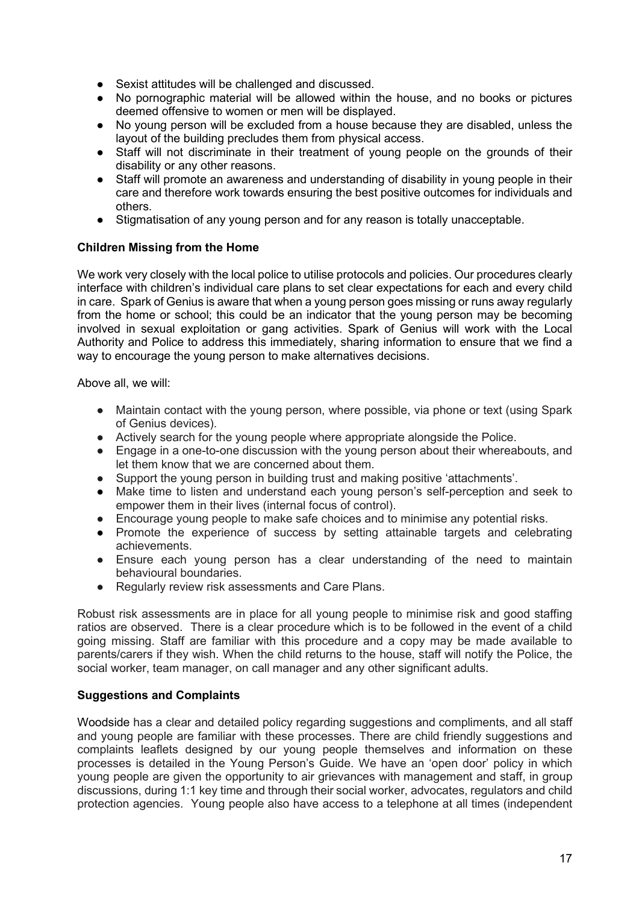- Sexist attitudes will be challenged and discussed.
- No pornographic material will be allowed within the house, and no books or pictures deemed offensive to women or men will be displayed.
- No young person will be excluded from a house because they are disabled, unless the layout of the building precludes them from physical access.
- Staff will not discriminate in their treatment of young people on the grounds of their disability or any other reasons.
- Staff will promote an awareness and understanding of disability in young people in their care and therefore work towards ensuring the best positive outcomes for individuals and others.
- Stigmatisation of any young person and for any reason is totally unacceptable.

#### **Children Missing from the Home**

We work very closely with the local police to utilise protocols and policies. Our procedures clearly interface with children's individual care plans to set clear expectations for each and every child in care. Spark of Genius is aware that when a young person goes missing or runs away regularly from the home or school; this could be an indicator that the young person may be becoming involved in sexual exploitation or gang activities. Spark of Genius will work with the Local Authority and Police to address this immediately, sharing information to ensure that we find a way to encourage the young person to make alternatives decisions.

Above all, we will:

- Maintain contact with the young person, where possible, via phone or text (using Spark of Genius devices).
- Actively search for the young people where appropriate alongside the Police.
- Engage in a one-to-one discussion with the young person about their whereabouts, and let them know that we are concerned about them.
- Support the young person in building trust and making positive 'attachments'.
- Make time to listen and understand each young person's self-perception and seek to empower them in their lives (internal focus of control).
- Encourage young people to make safe choices and to minimise any potential risks.
- Promote the experience of success by setting attainable targets and celebrating achievements.
- Ensure each young person has a clear understanding of the need to maintain behavioural boundaries.
- Regularly review risk assessments and Care Plans.

Robust risk assessments are in place for all young people to minimise risk and good staffing ratios are observed. There is a clear procedure which is to be followed in the event of a child going missing. Staff are familiar with this procedure and a copy may be made available to parents/carers if they wish. When the child returns to the house, staff will notify the Police, the social worker, team manager, on call manager and any other significant adults.

#### **Suggestions and Complaints**

Woodside has a clear and detailed policy regarding suggestions and compliments, and all staff and young people are familiar with these processes. There are child friendly suggestions and complaints leaflets designed by our young people themselves and information on these processes is detailed in the Young Person's Guide. We have an 'open door' policy in which young people are given the opportunity to air grievances with management and staff, in group discussions, during 1:1 key time and through their social worker, advocates, regulators and child protection agencies. Young people also have access to a telephone at all times (independent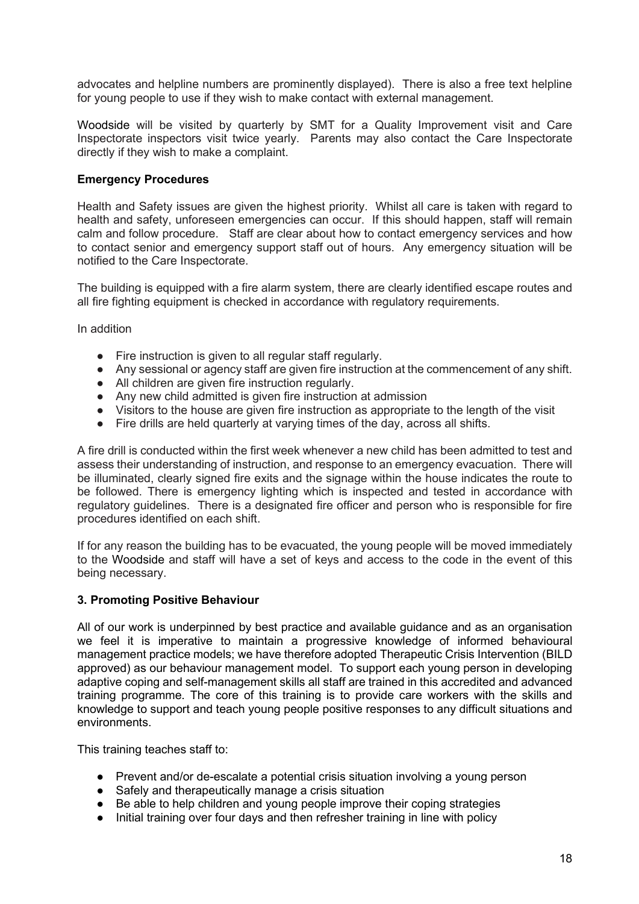advocates and helpline numbers are prominently displayed). There is also a free text helpline for young people to use if they wish to make contact with external management.

Woodside will be visited by quarterly by SMT for a Quality Improvement visit and Care Inspectorate inspectors visit twice yearly. Parents may also contact the Care Inspectorate directly if they wish to make a complaint.

#### **Emergency Procedures**

Health and Safety issues are given the highest priority. Whilst all care is taken with regard to health and safety, unforeseen emergencies can occur. If this should happen, staff will remain calm and follow procedure. Staff are clear about how to contact emergency services and how to contact senior and emergency support staff out of hours. Any emergency situation will be notified to the Care Inspectorate.

The building is equipped with a fire alarm system, there are clearly identified escape routes and all fire fighting equipment is checked in accordance with regulatory requirements.

In addition

- Fire instruction is given to all regular staff regularly.
- Any sessional or agency staff are given fire instruction at the commencement of any shift.
- All children are given fire instruction regularly.
- Any new child admitted is given fire instruction at admission
- Visitors to the house are given fire instruction as appropriate to the length of the visit
- Fire drills are held quarterly at varying times of the day, across all shifts.

A fire drill is conducted within the first week whenever a new child has been admitted to test and assess their understanding of instruction, and response to an emergency evacuation. There will be illuminated, clearly signed fire exits and the signage within the house indicates the route to be followed. There is emergency lighting which is inspected and tested in accordance with regulatory guidelines. There is a designated fire officer and person who is responsible for fire procedures identified on each shift.

If for any reason the building has to be evacuated, the young people will be moved immediately to the Woodside and staff will have a set of keys and access to the code in the event of this being necessary.

#### **3. Promoting Positive Behaviour**

All of our work is underpinned by best practice and available guidance and as an organisation we feel it is imperative to maintain a progressive knowledge of informed behavioural management practice models; we have therefore adopted Therapeutic Crisis Intervention (BILD approved) as our behaviour management model. To support each young person in developing adaptive coping and self-management skills all staff are trained in this accredited and advanced training programme. The core of this training is to provide care workers with the skills and knowledge to support and teach young people positive responses to any difficult situations and environments.

This training teaches staff to:

- Prevent and/or de-escalate a potential crisis situation involving a young person
- Safely and therapeutically manage a crisis situation
- Be able to help children and young people improve their coping strategies
- Initial training over four days and then refresher training in line with policy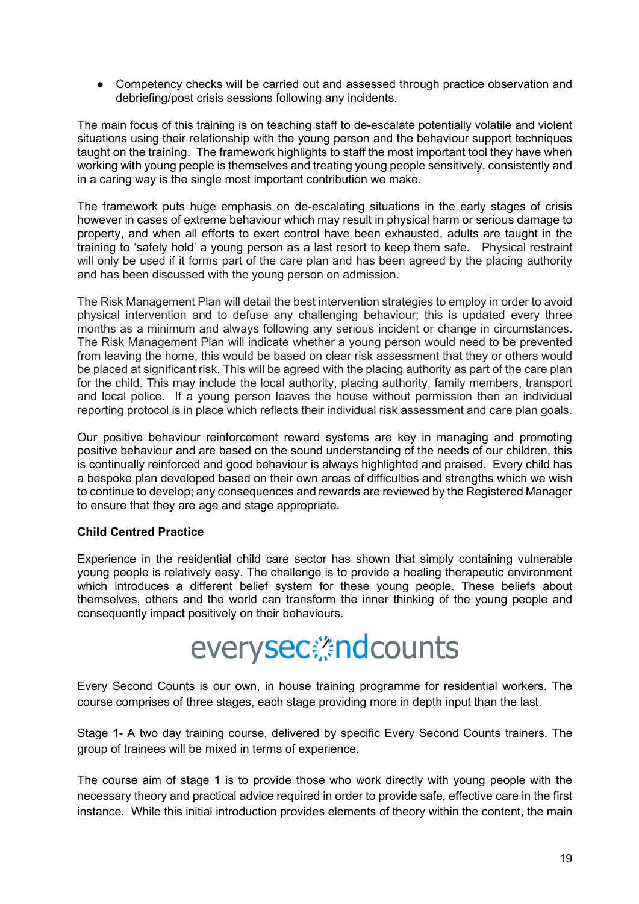• Competency checks will be carried out and assessed through practice observation and debriefing/post crisis sessions following any incidents.

The main focus of this training is on teaching staff to de-escalate potentially volatile and violent situations using their relationship with the young person and the behaviour support techniques taught on the training. The framework highlights to staff the most important tool they have when working with young people is themselves and treating young people sensitively, consistently and in a caring way is the single most important contribution we make.

The framework puts huge emphasis on de-escalating situations in the early stages of crisis however in cases of extreme behaviour which may result in physical harm or serious damage to property, and when all efforts to exert control have been exhausted, adults are taught in the training to 'safely hold' a young person as a last resort to keep them safe. Physical restraint will only be used if it forms part of the care plan and has been agreed by the placing authority and has been discussed with the young person on admission.

The Risk Management Plan will detail the best intervention strategies to employ in order to avoid physical intervention and to defuse any challenging behaviour; this is updated every three months as a minimum and always following any serious incident or change in circumstances. The Risk Management Plan will indicate whether a young person would need to be prevented from leaving the home, this would be based on clear risk assessment that they or others would be placed at significant risk. This will be agreed with the placing authority as part of the care plan for the child. This may include the local authority, placing authority, family members, transport and local police. If a young person leaves the house without permission then an individual reporting protocol is in place which reflects their individual risk assessment and care plan goals.

Our positive behaviour reinforcement reward systems are key in managing and promoting positive behaviour and are based on the sound understanding of the needs of our children, this is continually reinforced and good behaviour is always highlighted and praised. Every child has a bespoke plan developed based on their own areas of difficulties and strengths which we wish to continue to develop; any consequences and rewards are reviewed by the Registered Manager to ensure that they are age and stage appropriate.

#### **Child Centred Practice**

Experience in the residential child care sector has shown that simply containing vulnerable young people is relatively easy. The challenge is to provide a healing therapeutic environment which introduces a different belief system for these young people. These beliefs about themselves, others and the world can transform the inner thinking of the young people and consequently impact positively on their behaviours.

# everysec: ndcounts

Every Second Counts is our own, in house training programme for residential workers. The course comprises of three stages, each stage providing more in depth input than the last.

Stage 1- A two day training course, delivered by specific Every Second Counts trainers. The group of trainees will be mixed in terms of experience.

The course aim of stage 1 is to provide those who work directly with young people with the necessary theory and practical advice required in order to provide safe, effective care in the first instance. While this initial introduction provides elements of theory within the content, the main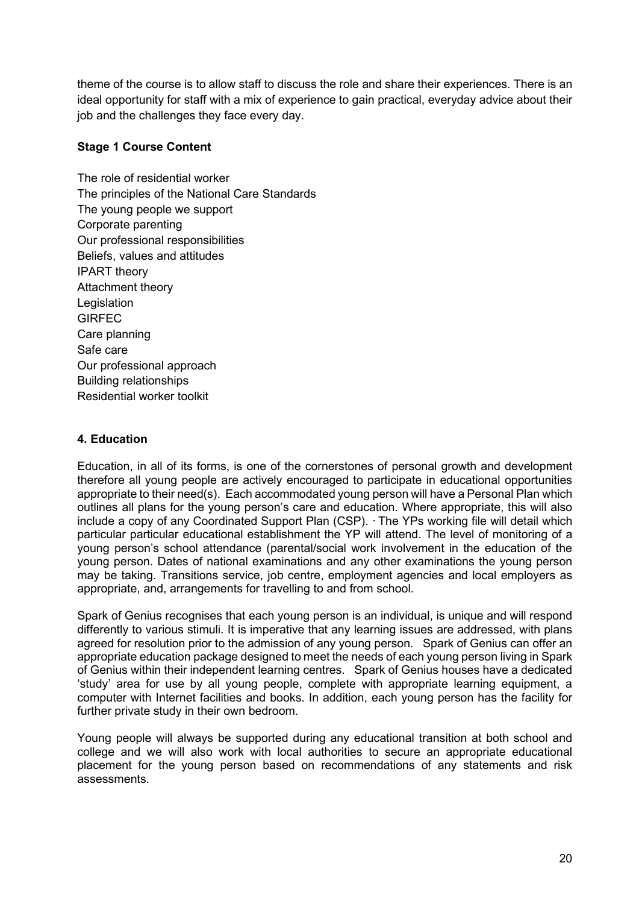theme of the course is to allow staff to discuss the role and share their experiences. There is an ideal opportunity for staff with a mix of experience to gain practical, everyday advice about their job and the challenges they face every day.

#### **Stage 1 Course Content**

The role of residential worker The principles of the National Care Standards The young people we support Corporate parenting Our professional responsibilities Beliefs, values and attitudes IPART theory Attachment theory **Legislation** GIRFEC Care planning Safe care Our professional approach Building relationships Residential worker toolkit

#### **4. Education**

Education, in all of its forms, is one of the cornerstones of personal growth and development therefore all young people are actively encouraged to participate in educational opportunities appropriate to their need(s). Each accommodated young person will have a Personal Plan which outlines all plans for the young person's care and education. Where appropriate, this will also include a copy of any Coordinated Support Plan (CSP). · The YPs working file will detail which particular particular educational establishment the YP will attend. The level of monitoring of a young person's school attendance (parental/social work involvement in the education of the young person. Dates of national examinations and any other examinations the young person may be taking. Transitions service, job centre, employment agencies and local employers as appropriate, and, arrangements for travelling to and from school.

Spark of Genius recognises that each young person is an individual, is unique and will respond differently to various stimuli. It is imperative that any learning issues are addressed, with plans agreed for resolution prior to the admission of any young person. Spark of Genius can offer an appropriate education package designed to meet the needs of each young person living in Spark of Genius within their independent learning centres. Spark of Genius houses have a dedicated 'study' area for use by all young people, complete with appropriate learning equipment, a computer with Internet facilities and books. In addition, each young person has the facility for further private study in their own bedroom.

Young people will always be supported during any educational transition at both school and college and we will also work with local authorities to secure an appropriate educational placement for the young person based on recommendations of any statements and risk assessments.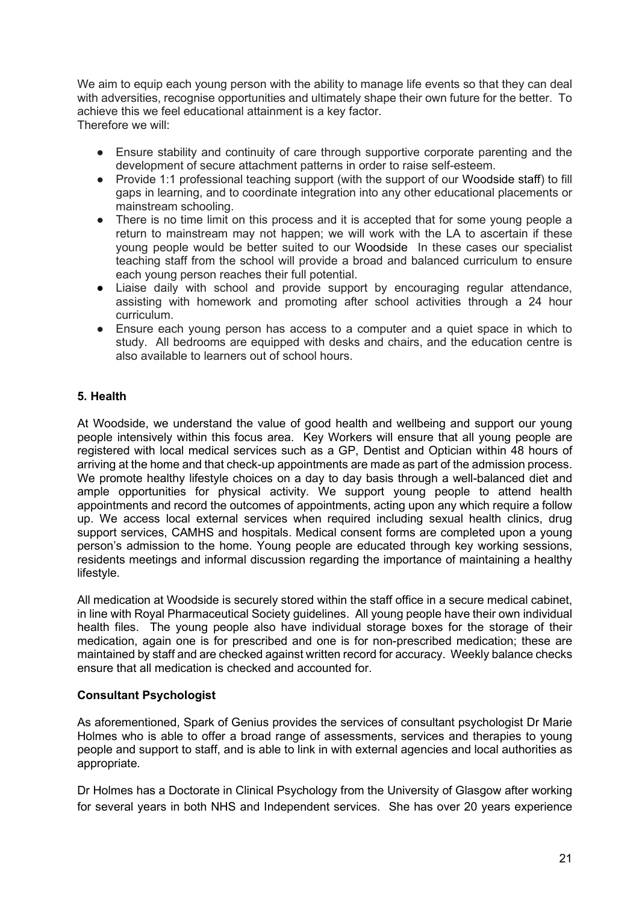We aim to equip each young person with the ability to manage life events so that they can deal with adversities, recognise opportunities and ultimately shape their own future for the better. To achieve this we feel educational attainment is a key factor. Therefore we will:

- Ensure stability and continuity of care through supportive corporate parenting and the development of secure attachment patterns in order to raise self-esteem.
- Provide 1:1 professional teaching support (with the support of our Woodside staff) to fill gaps in learning, and to coordinate integration into any other educational placements or mainstream schooling.
- There is no time limit on this process and it is accepted that for some voung people a return to mainstream may not happen; we will work with the LA to ascertain if these young people would be better suited to our Woodside In these cases our specialist teaching staff from the school will provide a broad and balanced curriculum to ensure each young person reaches their full potential.
- Liaise daily with school and provide support by encouraging regular attendance, assisting with homework and promoting after school activities through a 24 hour curriculum.
- Ensure each young person has access to a computer and a quiet space in which to study. All bedrooms are equipped with desks and chairs, and the education centre is also available to learners out of school hours.

#### **5. Health**

At Woodside, we understand the value of good health and wellbeing and support our young people intensively within this focus area. Key Workers will ensure that all young people are registered with local medical services such as a GP, Dentist and Optician within 48 hours of arriving at the home and that check-up appointments are made as part of the admission process. We promote healthy lifestyle choices on a day to day basis through a well-balanced diet and ample opportunities for physical activity. We support young people to attend health appointments and record the outcomes of appointments, acting upon any which require a follow up. We access local external services when required including sexual health clinics, drug support services, CAMHS and hospitals. Medical consent forms are completed upon a young person's admission to the home. Young people are educated through key working sessions, residents meetings and informal discussion regarding the importance of maintaining a healthy lifestyle.

All medication at Woodside is securely stored within the staff office in a secure medical cabinet, in line with Royal Pharmaceutical Society guidelines. All young people have their own individual health files. The young people also have individual storage boxes for the storage of their medication, again one is for prescribed and one is for non-prescribed medication; these are maintained by staff and are checked against written record for accuracy. Weekly balance checks ensure that all medication is checked and accounted for.

#### **Consultant Psychologist**

As aforementioned, Spark of Genius provides the services of consultant psychologist Dr Marie Holmes who is able to offer a broad range of assessments, services and therapies to young people and support to staff, and is able to link in with external agencies and local authorities as appropriate.

Dr Holmes has a Doctorate in Clinical Psychology from the University of Glasgow after working for several years in both NHS and Independent services. She has over 20 years experience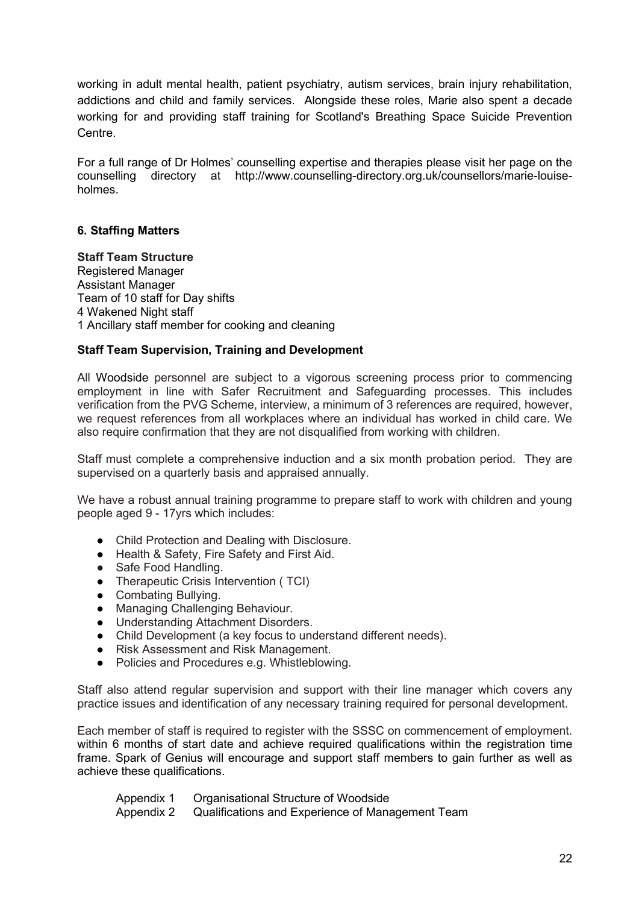working in adult mental health, patient psychiatry, autism services, brain injury rehabilitation, addictions and child and family services. Alongside these roles, Marie also spent a decade working for and providing staff training for Scotland's Breathing Space Suicide Prevention Centre.

For a full range of Dr Holmes' counselling expertise and therapies please visit her page on the counselling directory at http://www.counselling-directory.org.uk/counsellors/marie-louiseholmes.

#### **6. Staffing Matters**

**Staff Team Structure** Registered Manager Assistant Manager Team of 10 staff for Day shifts 4 Wakened Night staff 1 Ancillary staff member for cooking and cleaning

#### **Staff Team Supervision, Training and Development**

All Woodside personnel are subject to a vigorous screening process prior to commencing employment in line with Safer Recruitment and Safeguarding processes. This includes verification from the PVG Scheme, interview, a minimum of 3 references are required, however, we request references from all workplaces where an individual has worked in child care. We also require confirmation that they are not disqualified from working with children.

Staff must complete a comprehensive induction and a six month probation period. They are supervised on a quarterly basis and appraised annually.

We have a robust annual training programme to prepare staff to work with children and young people aged 9 - 17yrs which includes:

- Child Protection and Dealing with Disclosure.
- Health & Safety, Fire Safety and First Aid.
- Safe Food Handling.
- Therapeutic Crisis Intervention ( TCI)
- Combating Bullying.<br>● Managing Challengii
- Managing Challenging Behaviour.
- Understanding Attachment Disorders.
- Child Development (a key focus to understand different needs).
- Risk Assessment and Risk Management.
- Policies and Procedures e.g. Whistleblowing.

Staff also attend regular supervision and support with their line manager which covers any practice issues and identification of any necessary training required for personal development.

Each member of staff is required to register with the SSSC on commencement of employment. within 6 months of start date and achieve required qualifications within the registration time frame. Spark of Genius will encourage and support staff members to gain further as well as achieve these qualifications.

Appendix 1 Organisational Structure of Woodside

Appendix 2 Qualifications and Experience of Management Team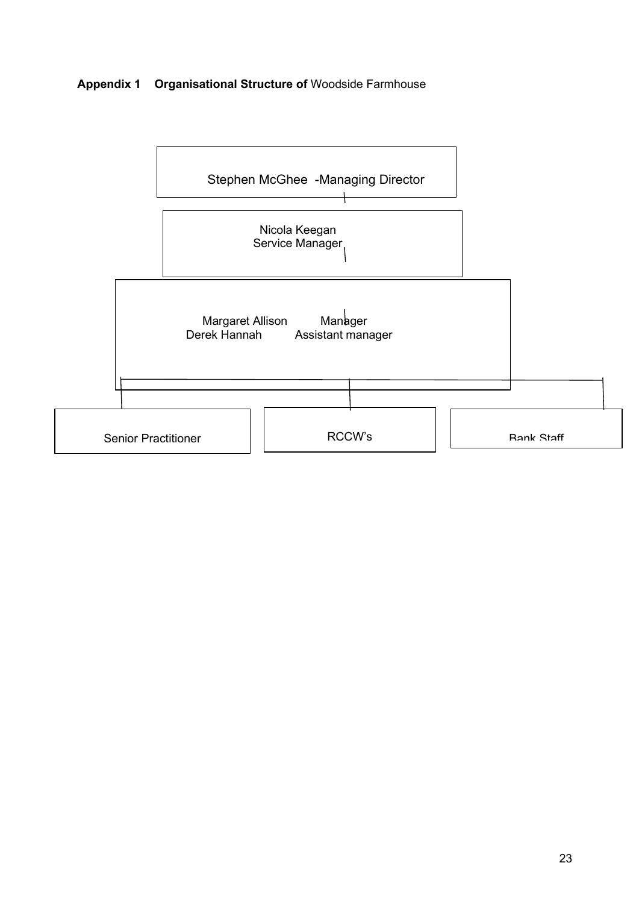## **Appendix 1 Organisational Structure of** Woodside Farmhouse

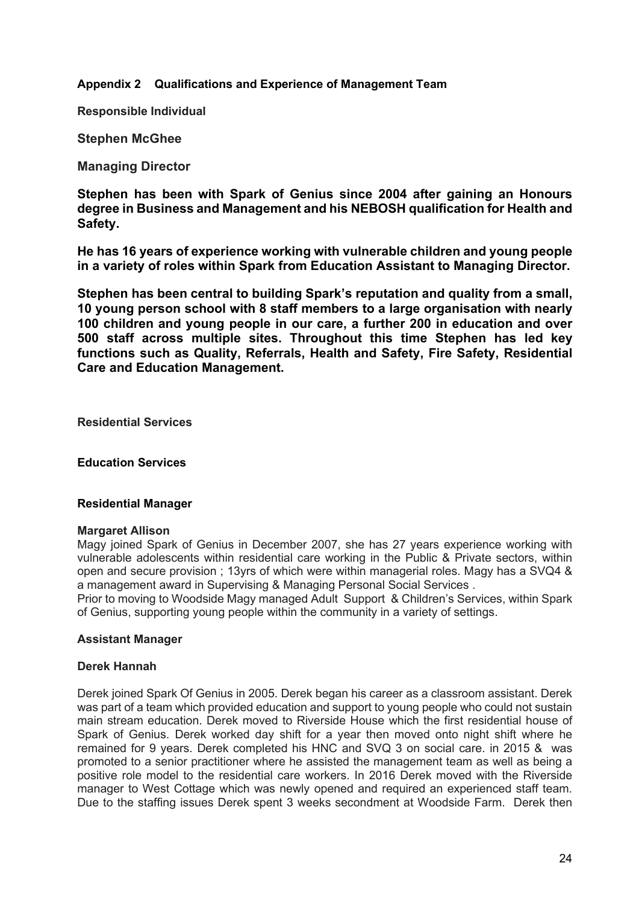**Appendix 2 Qualifications and Experience of Management Team**

**Responsible Individual** 

**Stephen McGhee**

**Managing Director**

**Stephen has been with Spark of Genius since 2004 after gaining an Honours degree in Business and Management and his NEBOSH qualification for Health and Safety.**

**He has 16 years of experience working with vulnerable children and young people in a variety of roles within Spark from Education Assistant to Managing Director.**

**Stephen has been central to building Spark's reputation and quality from a small, 10 young person school with 8 staff members to a large organisation with nearly 100 children and young people in our care, a further 200 in education and over 500 staff across multiple sites. Throughout this time Stephen has led key functions such as Quality, Referrals, Health and Safety, Fire Safety, Residential Care and Education Management.**

**Residential Services** 

**Education Services**

#### **Residential Manager**

#### **Margaret Allison**

Magy joined Spark of Genius in December 2007, she has 27 years experience working with vulnerable adolescents within residential care working in the Public & Private sectors, within open and secure provision ; 13yrs of which were within managerial roles. Magy has a SVQ4 & a management award in Supervising & Managing Personal Social Services .

Prior to moving to Woodside Magy managed Adult Support & Children's Services, within Spark of Genius, supporting young people within the community in a variety of settings.

#### **Assistant Manager**

#### **Derek Hannah**

Derek joined Spark Of Genius in 2005. Derek began his career as a classroom assistant. Derek was part of a team which provided education and support to young people who could not sustain main stream education. Derek moved to Riverside House which the first residential house of Spark of Genius. Derek worked day shift for a year then moved onto night shift where he remained for 9 years. Derek completed his HNC and SVQ 3 on social care. in 2015 & was promoted to a senior practitioner where he assisted the management team as well as being a positive role model to the residential care workers. In 2016 Derek moved with the Riverside manager to West Cottage which was newly opened and required an experienced staff team. Due to the staffing issues Derek spent 3 weeks secondment at Woodside Farm. Derek then